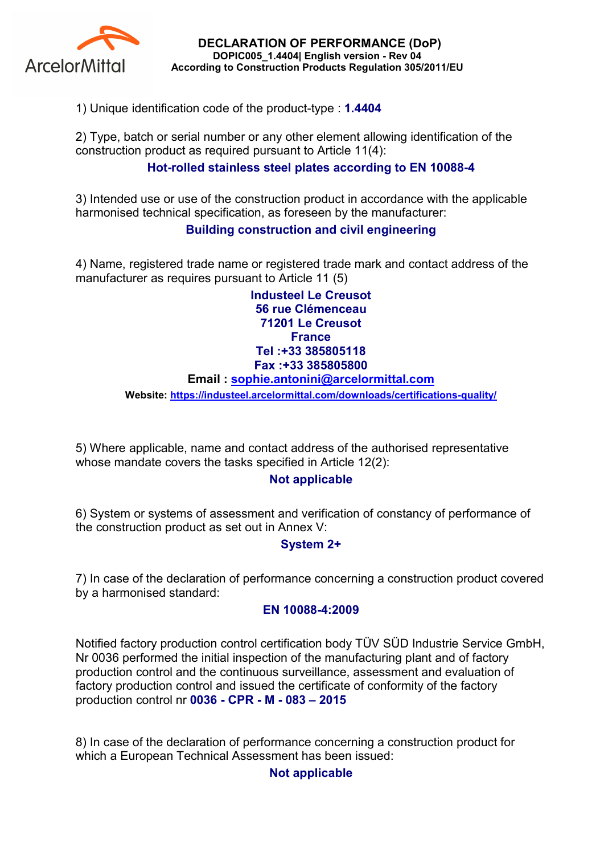

DECLARATION OF PERFORMANCE (DoP) DOPIC005\_1.4404| English version - Rev 04 According to Construction Products Regulation 305/2011/EU

1) Unique identification code of the product-type : 1.4404

2) Type, batch or serial number or any other element allowing identification of the construction product as required pursuant to Article 11(4):

# Hot-rolled stainless steel plates according to EN 10088-4

3) Intended use or use of the construction product in accordance with the applicable harmonised technical specification, as foreseen by the manufacturer:

## Building construction and civil engineering

4) Name, registered trade name or registered trade mark and contact address of the manufacturer as requires pursuant to Article 11 (5)

> Industeel Le Creusot 56 rue Clémenceau 71201 Le Creusot **France** Tel :+33 385805118 Fax :+33 385805800

### Email : sophie.antonini@arcelormittal.com

Website: https://industeel.arcelormittal.com/downloads/certifications-quality/

5) Where applicable, name and contact address of the authorised representative whose mandate covers the tasks specified in Article 12(2):

### Not applicable

6) System or systems of assessment and verification of constancy of performance of the construction product as set out in Annex V:

## System 2+

7) In case of the declaration of performance concerning a construction product covered by a harmonised standard:

### EN 10088-4:2009

Notified factory production control certification body TÜV SÜD Industrie Service GmbH, Nr 0036 performed the initial inspection of the manufacturing plant and of factory production control and the continuous surveillance, assessment and evaluation of factory production control and issued the certificate of conformity of the factory production control nr 0036 - CPR - M - 083 – 2015

8) In case of the declaration of performance concerning a construction product for which a European Technical Assessment has been issued:

## Not applicable